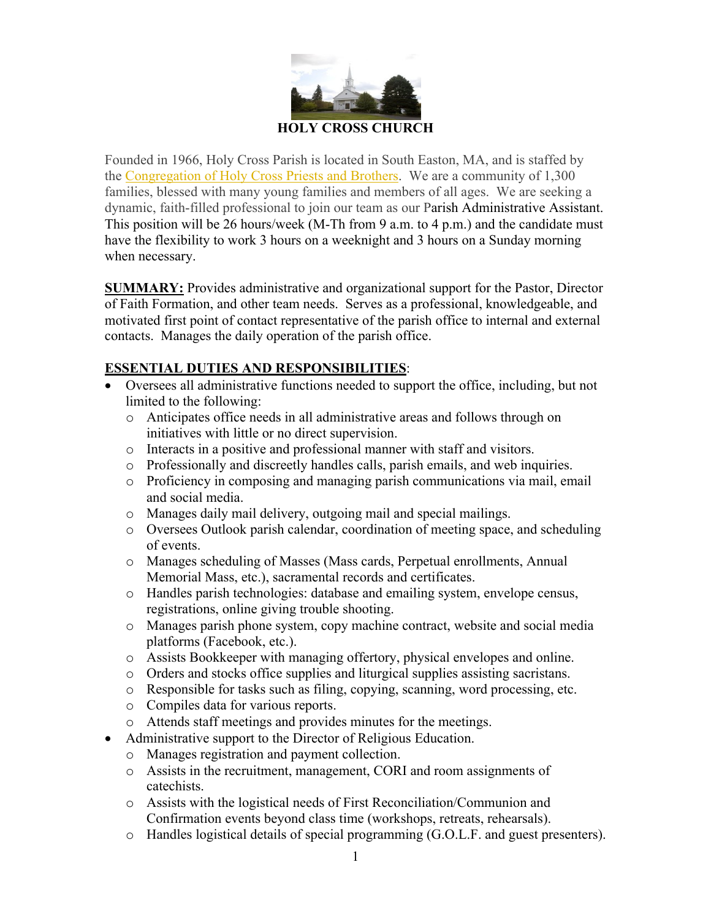

Founded in 1966, Holy Cross Parish is located in South Easton, MA, and is staffed by the [Congregation of Holy Cross Priests and Brothers.](https://www.holycrossusa.org) We are a community of 1,300 families, blessed with many young families and members of all ages. We are seeking a dynamic, faith-filled professional to join our team as our Parish Administrative Assistant. This position will be 26 hours/week (M-Th from 9 a.m. to 4 p.m.) and the candidate must have the flexibility to work 3 hours on a weeknight and 3 hours on a Sunday morning when necessary.

**SUMMARY:** Provides administrative and organizational support for the Pastor, Director of Faith Formation, and other team needs. Serves as a professional, knowledgeable, and motivated first point of contact representative of the parish office to internal and external contacts. Manages the daily operation of the parish office.

## **ESSENTIAL DUTIES AND RESPONSIBILITIES**:

- Oversees all administrative functions needed to support the office, including, but not limited to the following:
	- o Anticipates office needs in all administrative areas and follows through on initiatives with little or no direct supervision.
	- o Interacts in a positive and professional manner with staff and visitors.
	- o Professionally and discreetly handles calls, parish emails, and web inquiries.
	- o Proficiency in composing and managing parish communications via mail, email and social media.
	- o Manages daily mail delivery, outgoing mail and special mailings.
	- o Oversees Outlook parish calendar, coordination of meeting space, and scheduling of events.
	- o Manages scheduling of Masses (Mass cards, Perpetual enrollments, Annual Memorial Mass, etc.), sacramental records and certificates.
	- o Handles parish technologies: database and emailing system, envelope census, registrations, online giving trouble shooting.
	- o Manages parish phone system, copy machine contract, website and social media platforms (Facebook, etc.).
	- o Assists Bookkeeper with managing offertory, physical envelopes and online.
	- o Orders and stocks office supplies and liturgical supplies assisting sacristans.
	- o Responsible for tasks such as filing, copying, scanning, word processing, etc.
	- o Compiles data for various reports.
	- o Attends staff meetings and provides minutes for the meetings.
- Administrative support to the Director of Religious Education.
	- o Manages registration and payment collection.
	- o Assists in the recruitment, management, CORI and room assignments of catechists.
	- o Assists with the logistical needs of First Reconciliation/Communion and Confirmation events beyond class time (workshops, retreats, rehearsals).
	- o Handles logistical details of special programming (G.O.L.F. and guest presenters).